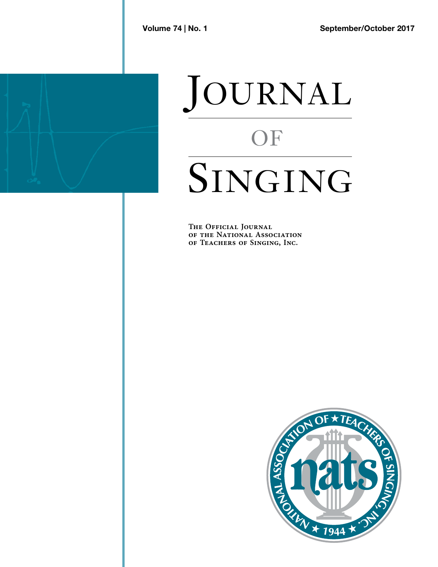

## JOURNAL **OF SINGING**

**The Official Journal T H E O F F I C I A L JO U R N A L of the National Association OF THE INATIONAL ASSOCIATION**<br>OF TEACHERS OF SINGING, INC.

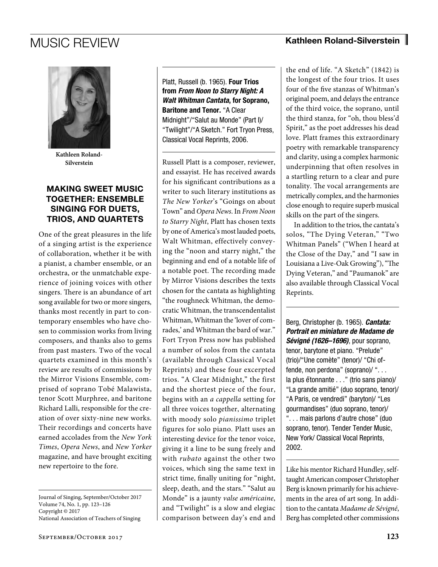

**Kathleen Roland-Silverstein**

## MAKING SWEET MUSIC TOGETHER: ENSEMBLE SINGING FOR DUETS, TRIOS, AND QUARTETS

One of the great pleasures in the life of a singing artist is the experience of collaboration, whether it be with a pianist, a chamber ensemble, or an orchestra, or the unmatchable experience of joining voices with other singers. There is an abundance of art song available for two or more singers, thanks most recently in part to contemporary ensembles who have chosen to commission works from living composers, and thanks also to gems from past masters. Two of the vocal quartets examined in this month's review are results of commissions by the Mirror Visions Ensemble, comprised of soprano Tobé Malawista, tenor Scott Murphree, and baritone Richard Lalli, responsible for the creation of over sixty-nine new works. Their recordings and concerts have earned accolades from the *New York Times*, *Opera News*, and *New Yorker*  magazine, and have brought exciting new repertoire to the fore.

Journal of Singing, September/October 2017 Volume 74, No. 1, pp. 123–126 Copyright © 2017 National Association of Teachers of Singing

Platt, Russell (b. 1965). Four Trios from *From Noon to Starry Night: A Walt Whitman Cantata*, for Soprano, Baritone and Tenor. "A Clear Midnight"/"Salut au Monde" (Part I)/ "Twilight"/"A Sketch." Fort Tryon Press, Classical Vocal Reprints, 2006.

Russell Platt is a composer, reviewer, and essayist. He has received awards for his significant contributions as a writer to such literary institutions as *The New Yorker*'s "Goings on about Town" and *Opera News*. In *From Noon to Starry Night*, Platt has chosen texts by one of America's most lauded poets, Walt Whitman, effectively conveying the "noon and starry night," the beginning and end of a notable life of a notable poet. The recording made by Mirror Visions describes the texts chosen for the cantata as highlighting "the roughneck Whitman, the democratic Whitman, the transcendentalist Whitman, Whitman the 'lover of comrades,' and Whitman the bard of war." Fort Tryon Press now has published a number of solos from the cantata (available through Classical Vocal Reprints) and these four excerpted trios. "A Clear Midnight," the first and the shortest piece of the four, begins with an *a cappella* setting for all three voices together, alternating with moody solo *pianissimo* triplet figures for solo piano. Platt uses an interesting device for the tenor voice, giving it a line to be sung freely and with *rubato* against the other two voices, which sing the same text in strict time, finally uniting for "night, sleep, death, and the stars." "Salut au Monde" is a jaunty *valse américaine*, and "Twilight" is a slow and elegiac comparison between day's end and

the end of life. "A Sketch" (1842) is the longest of the four trios. It uses four of the five stanzas of Whitman's original poem, and delays the entrance of the third voice, the soprano, until the third stanza, for "oh, thou bless'd Spirit," as the poet addresses his dead love. Platt frames this extraordinary poetry with remarkable transparency and clarity, using a complex harmonic underpinning that often resolves in a startling return to a clear and pure tonality. The vocal arrangements are metrically complex, and the harmonies close enough to require superb musical skills on the part of the singers.

In addition to the trios, the cantata's solos, "The Dying Veteran," "Two Whitman Panels" ("When I heard at the Close of the Day," and "I saw in Louisiana a Live-Oak Growing"), "The Dying Veteran," and "Paumanok" are also available through Classical Vocal Reprints.

Berg, Christopher (b. 1965). *Cantata: Portrait en miniature de Madame de Sévigné (1626–1696)*, pour soprano, tenor, barytone et piano. "Prelude" (trio)/"Une comète" (tenor)/ "Chi offende, non perdona" (soprano)/ ". . . la plus étonnante . . ." (trio sans piano)/ "La grande amitié" (duo soprano, tenor)/ "A Paris, ce vendredi" (baryton)/ "Les gourmandises" (duo soprano, tenor)/ ". . . mais parlons d'autre chose" (duo soprano, tenor). Tender Tender Music, New York/ Classical Vocal Reprints, 2002.

Like his mentor Richard Hundley, selftaught American composer Christopher Berg is known primarily for his achievements in the area of art song. In addition to the cantata *Madame de Sévigné*, Berg has completed other commissions